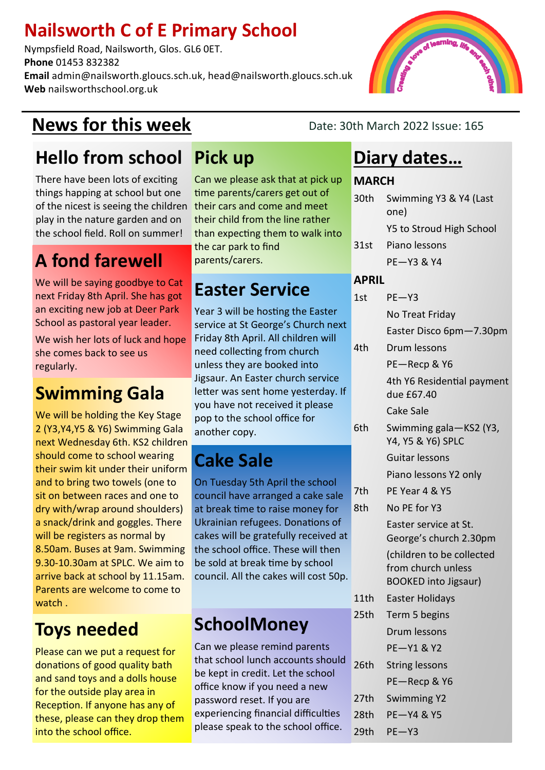#### **Nailsworth C of E Primary School**

Nympsfield Road, Nailsworth, Glos. GL6 0ET. **Phone** 01453 832382 **Email** admin@nailsworth.gloucs.sch.uk, head@nailsworth.gloucs.sch.uk **Web** nailsworthschool.org.uk

#### **News for this week** Date: 30th March 2022 Issue: 165

#### **Hello from school**

There have been lots of exciting things happing at school but one of the nicest is seeing the children their cars and come and meet play in the nature garden and on the school field. Roll on summer!

#### **A fond farewell**

We will be saying goodbye to Cat next Friday 8th April. She has got an exciting new job at Deer Park School as pastoral year leader.

We wish her lots of luck and hope she comes back to see us regularly.

#### **Swimming Gala**

We will be holding the Key Stage 2 (Y3,Y4,Y5 & Y6) Swimming Gala next Wednesday 6th. KS2 children should come to school wearing their swim kit under their uniform and to bring two towels (one to sit on between races and one to dry with/wrap around shoulders) a snack/drink and goggles. There will be registers as normal by 8.50am. Buses at 9am. Swimming 9.30-10.30am at SPLC. We aim to arrive back at school by 11.15am. Parents are welcome to come to watch .

#### **Toys needed**

Please can we put a request for donations of good quality bath and sand toys and a dolls house for the outside play area in Reception. If anyone has any of these, please can they drop them into the school office.

#### **Pick up**

Can we please ask that at pick up time parents/carers get out of their child from the line rather than expecting them to walk into the car park to find parents/carers.

#### **Easter Service**

Year 3 will be hosting the Easter service at St George's Church next Friday 8th April. All children will need collecting from church unless they are booked into Jigsaur. An Easter church service letter was sent home yesterday. If you have not received it please pop to the school office for another copy.

## **Cake Sale**

On Tuesday 5th April the school council have arranged a cake sale at break time to raise money for Ukrainian refugees. Donations of cakes will be gratefully received at the school office. These will then be sold at break time by school council. All the cakes will cost 50p.

#### **SchoolMoney**

Can we please remind parents that school lunch accounts should be kept in credit. Let the school office know if you need a new password reset. If you are experiencing financial difficulties please speak to the school office.

#### **Diary dates…**

#### **MARCH**

| 30th             | Swimming Y3 & Y4 (Last<br>one)                  |  |
|------------------|-------------------------------------------------|--|
|                  | Y5 to Stroud High School                        |  |
| 31st             | Piano lessons                                   |  |
|                  | <b>PE-Y3 &amp; Y4</b>                           |  |
| <b>APRIL</b>     |                                                 |  |
| 1st              | $PE - Y3$                                       |  |
|                  | No Treat Friday                                 |  |
|                  | Easter Disco 6pm-7.30pm                         |  |
| 4th              | Drum lessons                                    |  |
|                  | PE-Recp & Y6                                    |  |
|                  | 4th Y6 Residential payment<br>due £67.40        |  |
|                  | <b>Cake Sale</b>                                |  |
| 6th              | Swimming gala-KS2 (Y3,<br>Y4, Y5 & Y6) SPLC     |  |
|                  | Guitar lessons                                  |  |
|                  | Piano lessons Y2 only                           |  |
| 7th              | PE Year 4 & Y5                                  |  |
| 8th              | No PE for Y3                                    |  |
|                  | Easter service at St.<br>George's church 2.30pm |  |
|                  | (children to be collected                       |  |
|                  | from church unless                              |  |
|                  | <b>BOOKED into Jigsaur)</b>                     |  |
| 11th             | <b>Easter Holidays</b>                          |  |
| 25 <sub>th</sub> | Term 5 begins                                   |  |
|                  | <b>Drum lessons</b>                             |  |
|                  | <b>PE-Y1 &amp; Y2</b>                           |  |
| 26th             | <b>String lessons</b>                           |  |
|                  | PE-Recp & Y6                                    |  |
| 27th             | <b>Swimming Y2</b>                              |  |
| 28th             | <b>PE-Y4 &amp; Y5</b>                           |  |
| 29th             | $PE - Y3$                                       |  |
|                  |                                                 |  |

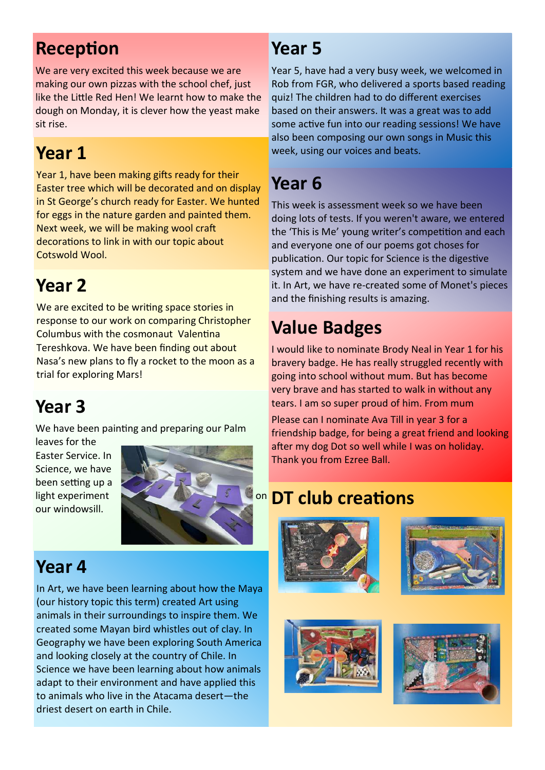## **Reception**

We are very excited this week because we are making our own pizzas with the school chef, just like the Little Red Hen! We learnt how to make the dough on Monday, it is clever how the yeast make sit rise.

#### **Year 1**

Year 1, have been making gifts ready for their Easter tree which will be decorated and on display in St George's church ready for Easter. We hunted for eggs in the nature garden and painted them. Next week, we will be making wool craft decorations to link in with our topic about Cotswold Wool.

#### **Year 2**

We are excited to be writing space stories in response to our work on comparing Christopher Columbus with the cosmonaut Valentina Tereshkova. We have been finding out about Nasa's new plans to fly a rocket to the moon as a trial for exploring Mars!

## **Year 3**

We have been painting and preparing our Palm

leaves for the Easter Service. In Science, we have been setting up a light experiment our windowsill.



#### **Year 4**

In Art, we have been learning about how the Maya (our history topic this term) created Art using animals in their surroundings to inspire them. We created some Mayan bird whistles out of clay. In Geography we have been exploring South America and looking closely at the country of Chile. In Science we have been learning about how animals adapt to their environment and have applied this to animals who live in the Atacama desert—the driest desert on earth in Chile.

#### **Year 5**

Year 5, have had a very busy week, we welcomed in Rob from FGR, who delivered a sports based reading quiz! The children had to do different exercises based on their answers. It was a great was to add some active fun into our reading sessions! We have also been composing our own songs in Music this week, using our voices and beats.

#### **Year 6**

This week is assessment week so we have been doing lots of tests. If you weren't aware, we entered the 'This is Me' young writer's competition and each and everyone one of our poems got choses for publication. Our topic for Science is the digestive system and we have done an experiment to simulate it. In Art, we have re-created some of Monet's pieces and the finishing results is amazing.

## **Value Badges**

I would like to nominate Brody Neal in Year 1 for his bravery badge. He has really struggled recently with going into school without mum. But has become very brave and has started to walk in without any tears. I am so super proud of him. From mum

Please can I nominate Ava Till in year 3 for a friendship badge, for being a great friend and looking after my dog Dot so well while I was on holiday. Thank you from Ezree Ball.

#### **DT club creations**







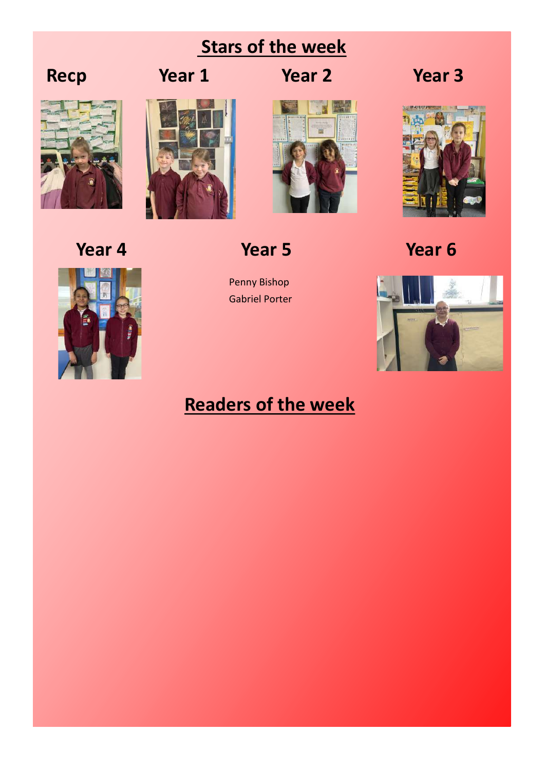#### **Stars of the week**







**Recp Year 1 Year 2 Year 3**



**Year 4 Year 5 Year 6**

Penny Bishop Gabriel Porter





#### **Readers of the week**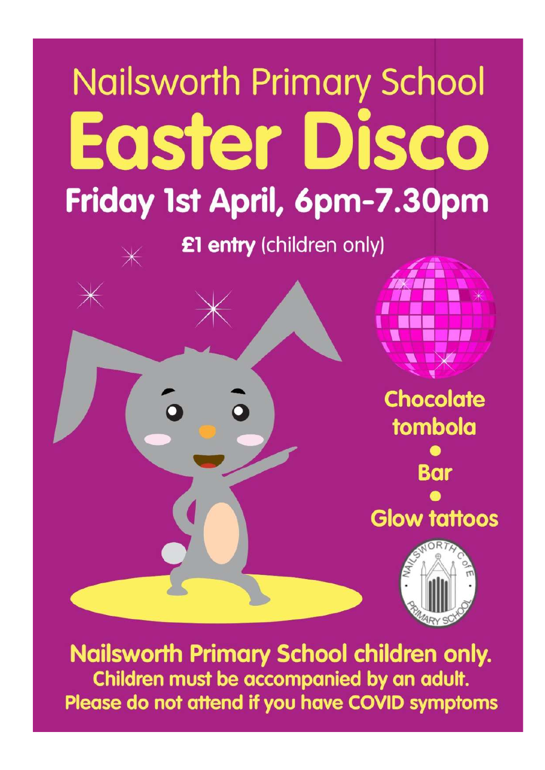# **Nailsworth Primary School Easter Disco** Friday 1st April, 6pm-7.30pm

£1 entry (children only)



**Nailsworth Primary School children only.** Children must be accompanied by an adult. Please do not attend if you have COVID symptoms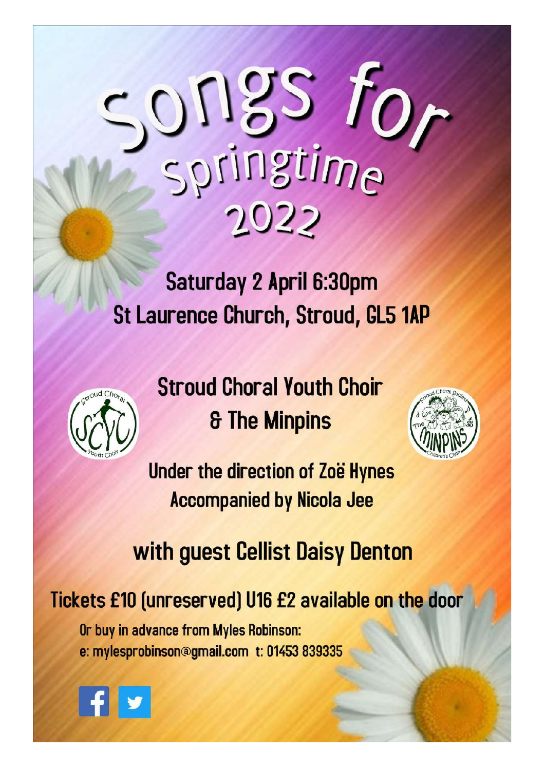# songs fo  $2022$

Saturday 2 April 6:30pm **St Laurence Church, Stroud, GL5 1AP** 



**Stroud Choral Youth Choir & The Minpins** 



Under the direction of Zoë Hynes **Accompanied by Nicola Jee** 

# with guest Cellist Daisy Denton

Tickets £10 (unreserved) U16 £2 available on the door

Or buy in advance from Myles Robinson: e: mylesprobinson@gmail.com t: 01453 839335

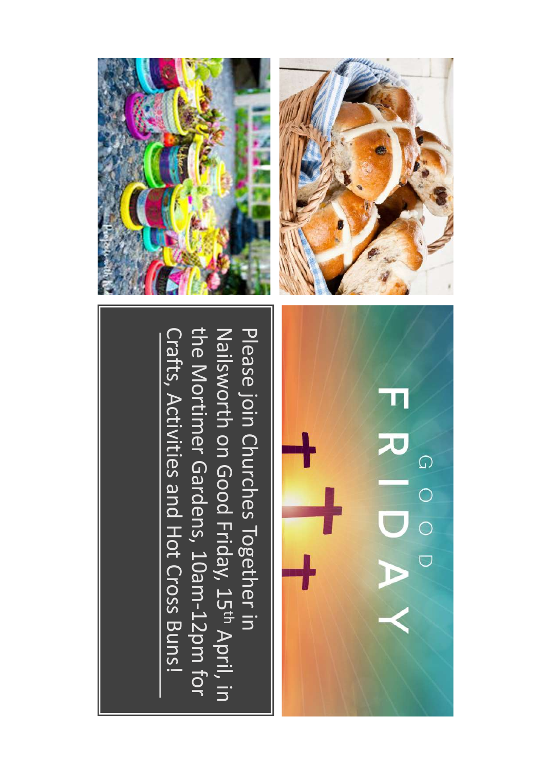